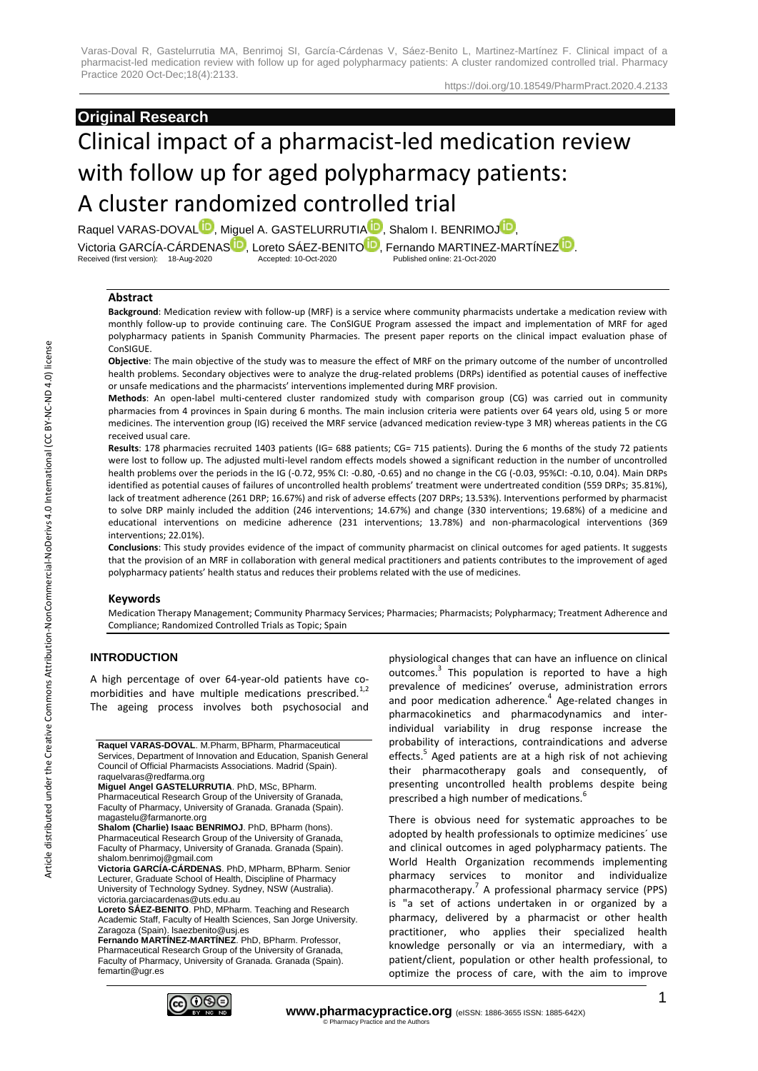# **Original Research**

# Clinical impact of a pharmacist-led medication review with follow up for aged polypharmacy patients: A cluster randomized controlled trial

Raquel VARAS-DOVA[L](https://orcid.org/0000-0002-0666-9739)<sup>D</sup>, Miguel [A](https://orcid.org/0000-0003-1019-0234). GASTELURRUTIA<sup>D</sup>, Shalom I. BENRIMO[J](https://orcid.org/0000-0001-9768-7838)<sup>D</sup>, Victoria GARCÍA-CÁRDENA[S](https://orcid.org/0000-0003-3770-4557)<sup>ID</sup>, Loreto SÁEZ-BENIT[O](https://orcid.org/0000-0001-5416-1828)<sup>ID</sup>, Fernando MARTINE[Z](https://orcid.org/0000-0001-8247-1751)-MARTÍNEZ<sup>1D</sup>.<br>Received (first version): 18-Aug-2020 **Accepted: 10-Oct-2020** Published online: 21-Oct-2020 Received (first version): 18-Aug-2020

# **Abstract**

**Background**: Medication review with follow-up (MRF) is a service where community pharmacists undertake a medication review with monthly follow-up to provide continuing care. The ConSIGUE Program assessed the impact and implementation of MRF for aged polypharmacy patients in Spanish Community Pharmacies. The present paper reports on the clinical impact evaluation phase of ConSIGUE.

**Objective**: The main objective of the study was to measure the effect of MRF on the primary outcome of the number of uncontrolled health problems. Secondary objectives were to analyze the drug-related problems (DRPs) identified as potential causes of ineffective or unsafe medications and the pharmacists' interventions implemented during MRF provision.

**Methods**: An open-label multi-centered cluster randomized study with comparison group (CG) was carried out in community pharmacies from 4 provinces in Spain during 6 months. The main inclusion criteria were patients over 64 years old, using 5 or more medicines. The intervention group (IG) received the MRF service (advanced medication review-type 3 MR) whereas patients in the CG received usual care.

**Results**: 178 pharmacies recruited 1403 patients (IG= 688 patients; CG= 715 patients). During the 6 months of the study 72 patients were lost to follow up. The adjusted multi-level random effects models showed a significant reduction in the number of uncontrolled health problems over the periods in the IG (-0.72, 95% CI: -0.80, -0.65) and no change in the CG (-0.03, 95%CI: -0.10, 0.04). Main DRPs identified as potential causes of failures of uncontrolled health problems' treatment were undertreated condition (559 DRPs; 35.81%), lack of treatment adherence (261 DRP; 16.67%) and risk of adverse effects (207 DRPs; 13.53%). Interventions performed by pharmacist to solve DRP mainly included the addition (246 interventions; 14.67%) and change (330 interventions; 19.68%) of a medicine and educational interventions on medicine adherence (231 interventions; 13.78%) and non-pharmacological interventions (369 interventions; 22.01%).

**Conclusions**: This study provides evidence of the impact of community pharmacist on clinical outcomes for aged patients. It suggests that the provision of an MRF in collaboration with general medical practitioners and patients contributes to the improvement of aged polypharmacy patients' health status and reduces their problems related with the use of medicines.

# **Keywords**

Medication Therapy Management; Community Pharmacy Services; Pharmacies; Pharmacists; Polypharmacy; Treatment Adherence and Compliance; Randomized Controlled Trials as Topic; Spain

# **INTRODUCTION**

A high percentage of over 64-year-old patients have comorbidities and have multiple medications prescribed.<sup>1,2</sup> The ageing process involves both psychosocial and

**Raquel VARAS-DOVAL**. M.Pharm, BPharm, Pharmaceutical Services, Department of Innovation and Education, Spanish General Council of Official Pharmacists Associations. Madrid (Spain). raquelvaras@redfarma.org

**Miguel Angel GASTELURRUTIA**. PhD, MSc, BPharm. Pharmaceutical Research Group of the University of Granada, Faculty of Pharmacy, University of Granada. Granada (Spain). magastelu@farmanorte.org

**Shalom (Charlie) Isaac BENRIMOJ**. PhD, BPharm (hons). Pharmaceutical Research Group of the University of Granada, Faculty of Pharmacy, University of Granada. Granada (Spain). shalom.benrimoj@gmail.com

**Victoria GARCÍA-CÁRDENAS**. PhD, MPharm, BPharm. Senior Lecturer, Graduate School of Health, Discipline of Pharmacy University of Technology Sydney. Sydney, NSW (Australia). victoria.garciacardenas@uts.edu.au

**Loreto SÁEZ-BENITO**. PhD, MPharm. Teaching and Research Academic Staff, Faculty of Health Sciences, San Jorge University. Zaragoza (Spain). lsaezbenito@usj.es

**Fernando MARTÍNEZ-MARTÍNEZ**. PhD, BPharm. Professor, Pharmaceutical Research Group of the University of Granada, Faculty of Pharmacy, University of Granada. Granada (Spain). femartin@ugr.es

physiological changes that can have an influence on clinical outcomes.<sup>3</sup> This population is reported to have a high prevalence of medicines' overuse, administration errors and poor medication adherence.<sup>4</sup> Age-related changes in pharmacokinetics and pharmacodynamics and interindividual variability in drug response increase the probability of interactions, contraindications and adverse effects.<sup>5</sup> Aged patients are at a high risk of not achieving their pharmacotherapy goals and consequently, of presenting uncontrolled health problems despite being prescribed a high number of medications.<sup>6</sup>

There is obvious need for systematic approaches to be adopted by health professionals to optimize medicines´ use and clinical outcomes in aged polypharmacy patients. The World Health Organization recommends implementing pharmacy services to monitor and individualize pharmacotherapy.<sup>7</sup> A professional pharmacy service (PPS) is "a set of actions undertaken in or organized by a pharmacy, delivered by a pharmacist or other health practitioner, who applies their specialized health knowledge personally or via an intermediary, with a patient/client, population or other health professional, to optimize the process of care, with the aim to improve

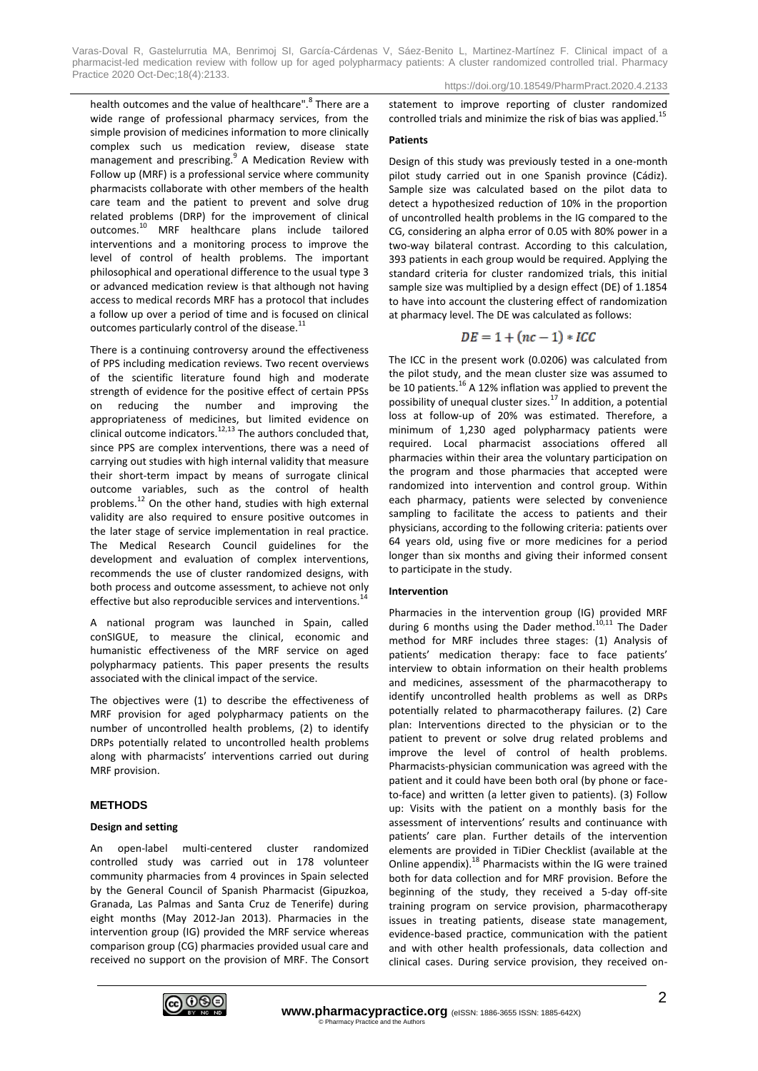health outcomes and the value of healthcare".<sup>8</sup> There are a wide range of professional pharmacy services, from the simple provision of medicines information to more clinically complex such us medication review, disease state management and prescribing.<sup>9</sup> A Medication Review with Follow up (MRF) is a professional service where community pharmacists collaborate with other members of the health care team and the patient to prevent and solve drug related problems (DRP) for the improvement of clinical outcomes.<sup>10</sup> MRF healthcare plans include tailored interventions and a monitoring process to improve the level of control of health problems. The important philosophical and operational difference to the usual type 3 or advanced medication review is that although not having access to medical records MRF has a protocol that includes a follow up over a period of time and is focused on clinical outcomes particularly control of the disease.<sup>11</sup>

There is a continuing controversy around the effectiveness of PPS including medication reviews. Two recent overviews of the scientific literature found high and moderate strength of evidence for the positive effect of certain PPSs on reducing the number and improving the appropriateness of medicines, but limited evidence on clinical outcome indicators. $12,13$  The authors concluded that, since PPS are complex interventions, there was a need of carrying out studies with high internal validity that measure their short-term impact by means of surrogate clinical outcome variables, such as the control of health problems.<sup>12</sup> On the other hand, studies with high external validity are also required to ensure positive outcomes in the later stage of service implementation in real practice. The Medical Research Council guidelines for the development and evaluation of complex interventions, recommends the use of cluster randomized designs, with both process and outcome assessment, to achieve not only effective but also reproducible services and interventions.<sup>1</sup>

A national program was launched in Spain, called conSIGUE, to measure the clinical, economic and humanistic effectiveness of the MRF service on aged polypharmacy patients. This paper presents the results associated with the clinical impact of the service.

The objectives were (1) to describe the effectiveness of MRF provision for aged polypharmacy patients on the number of uncontrolled health problems, (2) to identify DRPs potentially related to uncontrolled health problems along with pharmacists' interventions carried out during MRF provision.

# **METHODS**

# **Design and setting**

An open-label multi-centered cluster randomized controlled study was carried out in 178 volunteer community pharmacies from 4 provinces in Spain selected by the General Council of Spanish Pharmacist (Gipuzkoa, Granada, Las Palmas and Santa Cruz de Tenerife) during eight months (May 2012-Jan 2013). Pharmacies in the intervention group (IG) provided the MRF service whereas comparison group (CG) pharmacies provided usual care and received no support on the provision of MRF. The Consort statement to improve reporting of cluster randomized controlled trials and minimize the risk of bias was applied.<sup>15</sup>

# **Patients**

Design of this study was previously tested in a one-month pilot study carried out in one Spanish province (Cádiz). Sample size was calculated based on the pilot data to detect a hypothesized reduction of 10% in the proportion of uncontrolled health problems in the IG compared to the CG, considering an alpha error of 0.05 with 80% power in a two-way bilateral contrast. According to this calculation, 393 patients in each group would be required. Applying the standard criteria for cluster randomized trials, this initial sample size was multiplied by a design effect (DE) of 1.1854 to have into account the clustering effect of randomization at pharmacy level. The DE was calculated as follows:

$$
DE = 1 + (nc - 1) * IC
$$

The ICC in the present work (0.0206) was calculated from the pilot study, and the mean cluster size was assumed to be 10 patients.<sup>16</sup> A 12% inflation was applied to prevent the possibility of unequal cluster sizes. $^{17}$  In addition, a potential loss at follow-up of 20% was estimated. Therefore, a minimum of 1,230 aged polypharmacy patients were required. Local pharmacist associations offered all pharmacies within their area the voluntary participation on the program and those pharmacies that accepted were randomized into intervention and control group. Within each pharmacy, patients were selected by convenience sampling to facilitate the access to patients and their physicians, according to the following criteria: patients over 64 years old, using five or more medicines for a period longer than six months and giving their informed consent to participate in the study.

# **Intervention**

Pharmacies in the intervention group (IG) provided MRF during 6 months using the Dader method.<sup>10,11</sup> The Dader method for MRF includes three stages: (1) Analysis of patients' medication therapy: face to face patients' interview to obtain information on their health problems and medicines, assessment of the pharmacotherapy to identify uncontrolled health problems as well as DRPs potentially related to pharmacotherapy failures. (2) Care plan: Interventions directed to the physician or to the patient to prevent or solve drug related problems and improve the level of control of health problems. Pharmacists-physician communication was agreed with the patient and it could have been both oral (by phone or faceto-face) and written (a letter given to patients). (3) Follow up: Visits with the patient on a monthly basis for the assessment of interventions' results and continuance with patients' care plan. Further details of the intervention elements are provided in TiDier Checklist (available at the Online appendix).<sup>18</sup> Pharmacists within the IG were trained both for data collection and for MRF provision. Before the beginning of the study, they received a 5-day off-site training program on service provision, pharmacotherapy issues in treating patients, disease state management, evidence-based practice, communication with the patient and with other health professionals, data collection and clinical cases. During service provision, they received on-

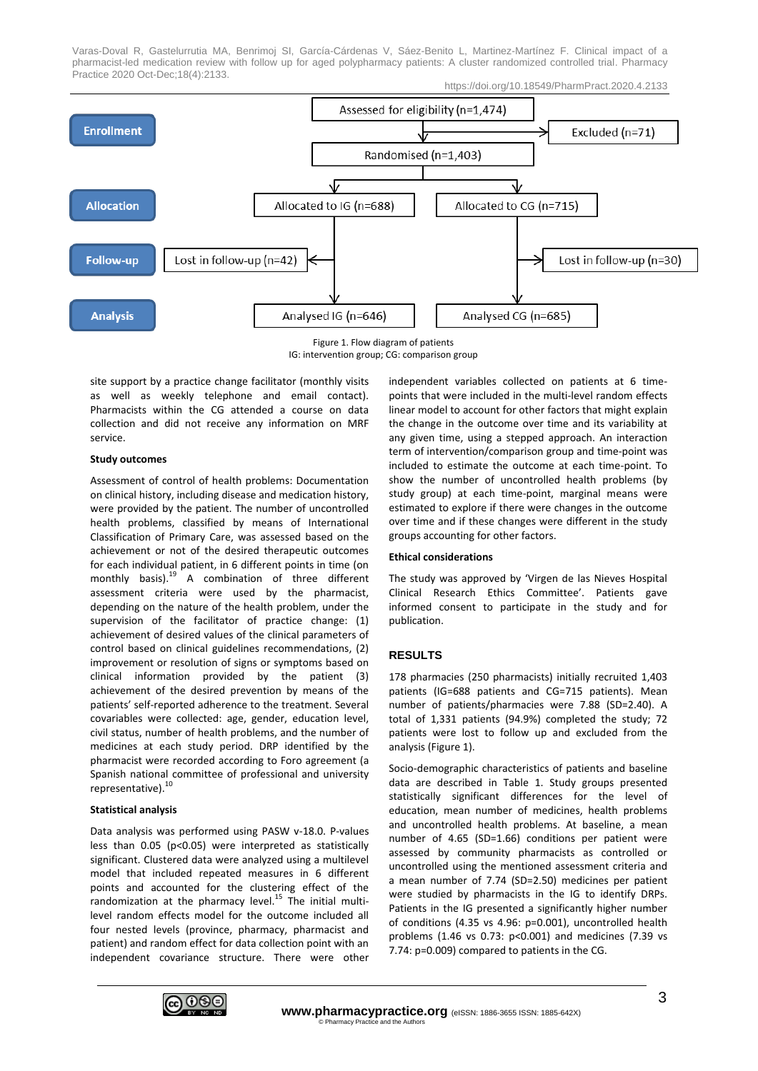

Figure 1. Flow diagram of patients IG: intervention group; CG: comparison group

site support by a practice change facilitator (monthly visits as well as weekly telephone and email contact). Pharmacists within the CG attended a course on data collection and did not receive any information on MRF service.

## **Study outcomes**

Assessment of control of health problems: Documentation on clinical history, including disease and medication history, were provided by the patient. The number of uncontrolled health problems, classified by means of International Classification of Primary Care, was assessed based on the achievement or not of the desired therapeutic outcomes for each individual patient, in 6 different points in time (on monthly basis). $19$  A combination of three different assessment criteria were used by the pharmacist, depending on the nature of the health problem, under the supervision of the facilitator of practice change: (1) achievement of desired values of the clinical parameters of control based on clinical guidelines recommendations, (2) improvement or resolution of signs or symptoms based on clinical information provided by the patient (3) achievement of the desired prevention by means of the patients' self-reported adherence to the treatment. Several covariables were collected: age, gender, education level, civil status, number of health problems, and the number of medicines at each study period. DRP identified by the pharmacist were recorded according to Foro agreement (a Spanish national committee of professional and university representative). 10

#### **Statistical analysis**

Data analysis was performed using PASW v-18.0. P-values less than 0.05 (p<0.05) were interpreted as statistically significant. Clustered data were analyzed using a multilevel model that included repeated measures in 6 different points and accounted for the clustering effect of the randomization at the pharmacy level.<sup>15</sup> The initial multilevel random effects model for the outcome included all four nested levels (province, pharmacy, pharmacist and patient) and random effect for data collection point with an independent covariance structure. There were other independent variables collected on patients at 6 timepoints that were included in the multi-level random effects linear model to account for other factors that might explain the change in the outcome over time and its variability at any given time, using a stepped approach. An interaction term of intervention/comparison group and time-point was included to estimate the outcome at each time-point. To show the number of uncontrolled health problems (by study group) at each time-point, marginal means were estimated to explore if there were changes in the outcome over time and if these changes were different in the study groups accounting for other factors.

#### **Ethical considerations**

The study was approved by 'Virgen de las Nieves Hospital Clinical Research Ethics Committee'. Patients gave informed consent to participate in the study and for publication.

# **RESULTS**

178 pharmacies (250 pharmacists) initially recruited 1,403 patients (IG=688 patients and CG=715 patients). Mean number of patients/pharmacies were 7.88 (SD=2.40). A total of 1,331 patients (94.9%) completed the study; 72 patients were lost to follow up and excluded from the analysis (Figure 1).

Socio-demographic characteristics of patients and baseline data are described in Table 1. Study groups presented statistically significant differences for the level of education, mean number of medicines, health problems and uncontrolled health problems. At baseline, a mean number of 4.65 (SD=1.66) conditions per patient were assessed by community pharmacists as controlled or uncontrolled using the mentioned assessment criteria and a mean number of 7.74 (SD=2.50) medicines per patient were studied by pharmacists in the IG to identify DRPs. Patients in the IG presented a significantly higher number of conditions (4.35 vs 4.96: p=0.001), uncontrolled health problems (1.46 vs 0.73: p<0.001) and medicines (7.39 vs 7.74: p=0.009) compared to patients in the CG.

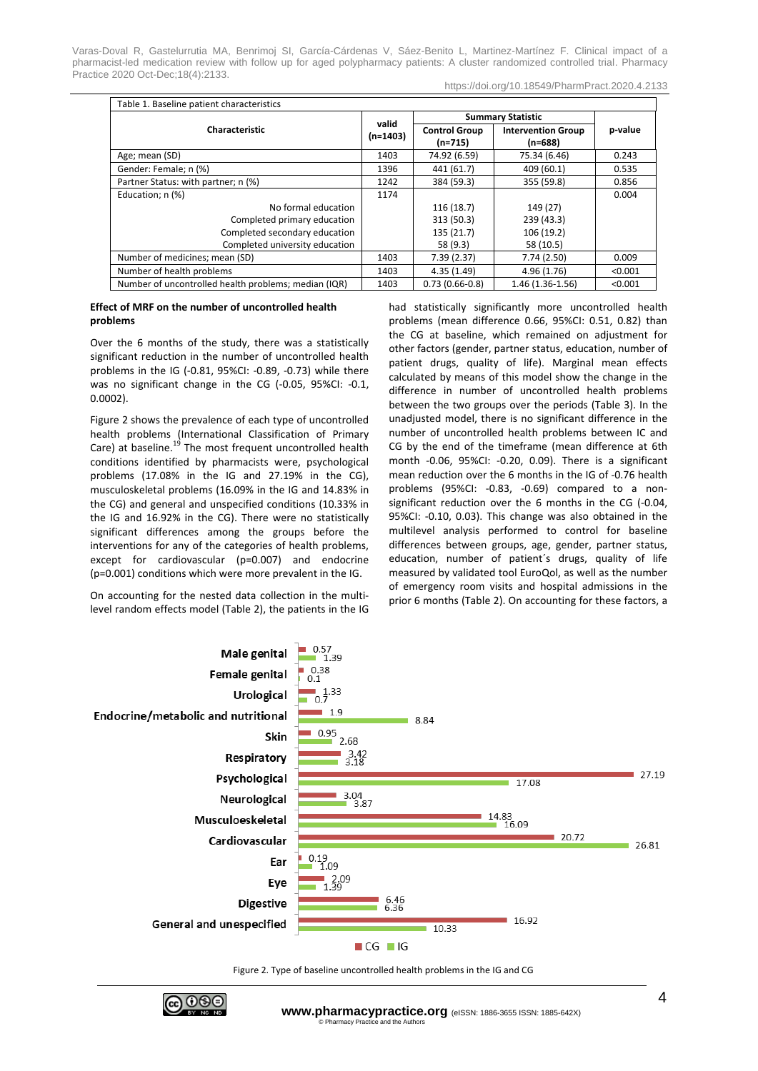https://doi.org/10.18549/PharmPract.2020.4.2133

|                                                      | valid<br>$(n=1403)$ | <b>Summary Statistic</b>          |                                        |         |
|------------------------------------------------------|---------------------|-----------------------------------|----------------------------------------|---------|
| Characteristic                                       |                     | <b>Control Group</b><br>$(n=715)$ | <b>Intervention Group</b><br>$(n=688)$ | p-value |
| Age; mean (SD)                                       | 1403                | 74.92 (6.59)                      | 75.34 (6.46)                           | 0.243   |
| Gender: Female; n (%)                                | 1396                | 441 (61.7)                        | 409 (60.1)                             | 0.535   |
| Partner Status: with partner; n (%)                  | 1242                | 384 (59.3)                        | 355 (59.8)                             | 0.856   |
| Education; n (%)                                     | 1174                |                                   |                                        | 0.004   |
| No formal education                                  |                     | 116(18.7)                         | 149 (27)                               |         |
| Completed primary education                          |                     | 313 (50.3)                        | 239 (43.3)                             |         |
| Completed secondary education                        |                     | 135 (21.7)                        | 106 (19.2)                             |         |
| Completed university education                       |                     | 58 (9.3)                          | 58 (10.5)                              |         |
| Number of medicines; mean (SD)                       | 1403                | 7.39(2.37)                        | 7.74(2.50)                             | 0.009   |
| Number of health problems                            | 1403                | 4.35(1.49)                        | 4.96(1.76)                             | < 0.001 |
| Number of uncontrolled health problems; median (IQR) | 1403                | $0.73(0.66-0.8)$                  | 1.46 (1.36-1.56)                       | < 0.001 |

## **Effect of MRF on the number of uncontrolled health problems**

Over the 6 months of the study, there was a statistically significant reduction in the number of uncontrolled health problems in the IG (-0.81, 95%CI: -0.89, -0.73) while there was no significant change in the CG (-0.05, 95%CI: -0.1, 0.0002).

Figure 2 shows the prevalence of each type of uncontrolled health problems (International Classification of Primary Care) at baseline.<sup>19</sup> The most frequent uncontrolled health conditions identified by pharmacists were, psychological problems (17.08% in the IG and 27.19% in the CG), musculoskeletal problems (16.09% in the IG and 14.83% in the CG) and general and unspecified conditions (10.33% in the IG and 16.92% in the CG). There were no statistically significant differences among the groups before the interventions for any of the categories of health problems, except for cardiovascular (p=0.007) and endocrine (p=0.001) conditions which were more prevalent in the IG.

On accounting for the nested data collection in the multilevel random effects model (Table 2), the patients in the IG had statistically significantly more uncontrolled health problems (mean difference 0.66, 95%CI: 0.51, 0.82) than the CG at baseline, which remained on adjustment for other factors (gender, partner status, education, number of patient drugs, quality of life). Marginal mean effects calculated by means of this model show the change in the difference in number of uncontrolled health problems between the two groups over the periods (Table 3). In the unadjusted model, there is no significant difference in the number of uncontrolled health problems between IC and CG by the end of the timeframe (mean difference at 6th month -0.06, 95%CI: -0.20, 0.09). There is a significant mean reduction over the 6 months in the IG of -0.76 health problems (95%CI: -0.83, -0.69) compared to a nonsignificant reduction over the 6 months in the CG (-0.04, 95%CI: -0.10, 0.03). This change was also obtained in the multilevel analysis performed to control for baseline differences between groups, age, gender, partner status, education, number of patient´s drugs, quality of life measured by validated tool EuroQol, as well as the number of emergency room visits and hospital admissions in the prior 6 months (Table 2). On accounting for these factors, a



Figure 2. Type of baseline uncontrolled health problems in the IG and CG

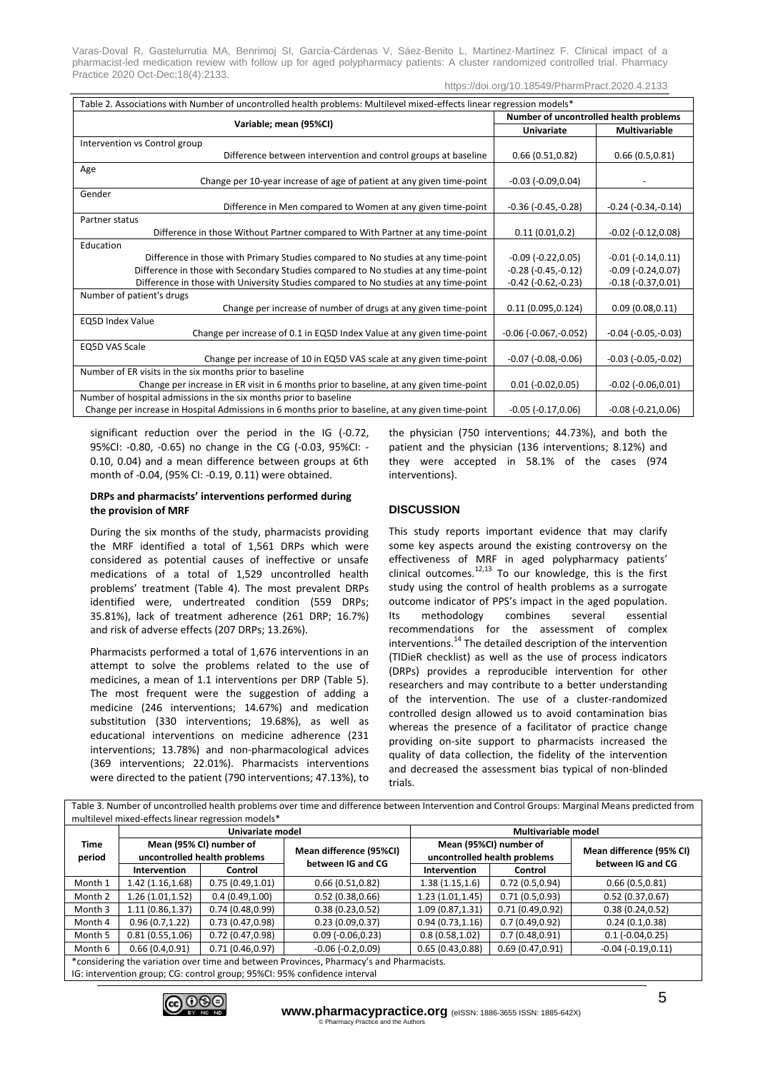https://doi.org/10.18549/PharmPract.2020.4.2133

| Table 2. Associations with Number of uncontrolled health problems: Multilevel mixed-effects linear regression models* |                                        |                               |  |  |  |  |
|-----------------------------------------------------------------------------------------------------------------------|----------------------------------------|-------------------------------|--|--|--|--|
|                                                                                                                       | Number of uncontrolled health problems |                               |  |  |  |  |
| Variable; mean (95%CI)                                                                                                | <b>Univariate</b>                      | <b>Multivariable</b>          |  |  |  |  |
| Intervention vs Control group                                                                                         |                                        |                               |  |  |  |  |
| Difference between intervention and control groups at baseline                                                        | 0.66(0.51, 0.82)                       | 0.66(0.5,0.81)                |  |  |  |  |
| Age                                                                                                                   |                                        |                               |  |  |  |  |
| Change per 10-year increase of age of patient at any given time-point                                                 | $-0.03$ $(-0.09, 0.04)$                |                               |  |  |  |  |
| Gender                                                                                                                |                                        |                               |  |  |  |  |
| Difference in Men compared to Women at any given time-point                                                           | $-0.36$ ( $-0.45,-0.28$ )              | $-0.24$ $(-0.34,-0.14)$       |  |  |  |  |
| Partner status                                                                                                        |                                        |                               |  |  |  |  |
| Difference in those Without Partner compared to With Partner at any time-point                                        | 0.11(0.01, 0.2)                        | $-0.02$ $(-0.12, 0.08)$       |  |  |  |  |
| Education                                                                                                             |                                        |                               |  |  |  |  |
| Difference in those with Primary Studies compared to No studies at any time-point                                     | $-0.09$ $(-0.22, 0.05)$                | $-0.01(-0.14, 0.11)$          |  |  |  |  |
| Difference in those with Secondary Studies compared to No studies at any time-point                                   | $-0.28$ ( $-0.45,-0.12$ )              | $-0.09$ $(-0.24, 0.07)$       |  |  |  |  |
| Difference in those with University Studies compared to No studies at any time-point                                  | $-0.42$ ( $-0.62$ , $-0.23$ )          | $-0.18(-0.37,0.01)$           |  |  |  |  |
| Number of patient's drugs                                                                                             |                                        |                               |  |  |  |  |
| Change per increase of number of drugs at any given time-point                                                        | 0.11(0.095, 0.124)                     | 0.09(0.08, 0.11)              |  |  |  |  |
| <b>EQ5D Index Value</b>                                                                                               |                                        |                               |  |  |  |  |
| Change per increase of 0.1 in EQ5D Index Value at any given time-point                                                | $-0.06$ ( $-0.067$ , $-0.052$ )        | $-0.04$ ( $-0.05$ , $-0.03$ ) |  |  |  |  |
| <b>EQ5D VAS Scale</b>                                                                                                 |                                        |                               |  |  |  |  |
| Change per increase of 10 in EQ5D VAS scale at any given time-point                                                   | $-0.07$ $(-0.08,-0.06)$                | $-0.03$ $(-0.05,-0.02)$       |  |  |  |  |
| Number of ER visits in the six months prior to baseline                                                               |                                        |                               |  |  |  |  |
| Change per increase in ER visit in 6 months prior to baseline, at any given time-point                                | $0.01 (-0.02, 0.05)$                   | $-0.02$ $(-0.06, 0.01)$       |  |  |  |  |
| Number of hospital admissions in the six months prior to baseline                                                     |                                        |                               |  |  |  |  |
| Change per increase in Hospital Admissions in 6 months prior to baseline, at any given time-point                     | $-0.05$ $(-0.17, 0.06)$                | $-0.08$ $(-0.21, 0.06)$       |  |  |  |  |

significant reduction over the period in the IG (-0.72, 95%CI: -0.80, -0.65) no change in the CG (-0.03, 95%CI: - 0.10, 0.04) and a mean difference between groups at 6th month of -0.04, (95% CI: -0.19, 0.11) were obtained.

# **DRPs and pharmacists' interventions performed during the provision of MRF**

During the six months of the study, pharmacists providing the MRF identified a total of 1,561 DRPs which were considered as potential causes of ineffective or unsafe medications of a total of 1,529 uncontrolled health problems' treatment (Table 4). The most prevalent DRPs identified were, undertreated condition (559 DRPs; 35.81%), lack of treatment adherence (261 DRP; 16.7%) and risk of adverse effects (207 DRPs; 13.26%).

Pharmacists performed a total of 1,676 interventions in an attempt to solve the problems related to the use of medicines, a mean of 1.1 interventions per DRP (Table 5). The most frequent were the suggestion of adding a medicine (246 interventions; 14.67%) and medication substitution (330 interventions; 19.68%), as well as educational interventions on medicine adherence (231 interventions; 13.78%) and non-pharmacological advices (369 interventions; 22.01%). Pharmacists interventions were directed to the patient (790 interventions; 47.13%), to the physician (750 interventions; 44.73%), and both the patient and the physician (136 interventions; 8.12%) and they were accepted in 58.1% of the cases (974 interventions).

# **DISCUSSION**

This study reports important evidence that may clarify some key aspects around the existing controversy on the effectiveness of MRF in aged polypharmacy patients' clinical outcomes. $12,13$  To our knowledge, this is the first study using the control of health problems as a surrogate outcome indicator of PPS's impact in the aged population. Its methodology combines several essential recommendations for the assessment of complex interventions. <sup>14</sup> The detailed description of the intervention (TIDieR checklist) as well as the use of process indicators (DRPs) provides a reproducible intervention for other researchers and may contribute to a better understanding of the intervention. The use of a cluster-randomized controlled design allowed us to avoid contamination bias whereas the presence of a facilitator of practice change providing on-site support to pharmacists increased the quality of data collection, the fidelity of the intervention and decreased the assessment bias typical of non-blinded trials.

| Table 3. Number of uncontrolled health problems over time and difference between Intervention and Control Groups: Marginal Means predicted from |                                                         |                  |                                              |                     |                                                        |                                               |  |  |
|-------------------------------------------------------------------------------------------------------------------------------------------------|---------------------------------------------------------|------------------|----------------------------------------------|---------------------|--------------------------------------------------------|-----------------------------------------------|--|--|
| multilevel mixed-effects linear regression models*                                                                                              |                                                         |                  |                                              |                     |                                                        |                                               |  |  |
| <b>Time</b><br>period                                                                                                                           | Univariate model                                        |                  |                                              | Multivariable model |                                                        |                                               |  |  |
|                                                                                                                                                 | Mean (95% CI) number of<br>uncontrolled health problems |                  | Mean difference (95%CI)<br>between IG and CG |                     | Mean (95%CI) number of<br>uncontrolled health problems | Mean difference (95% CI)<br>between IG and CG |  |  |
|                                                                                                                                                 | Intervention                                            | Control          |                                              | Intervention        | Control                                                |                                               |  |  |
| Month 1                                                                                                                                         | 1.42 (1.16,1.68)                                        | 0.75(0.49, 1.01) | 0.66(0.51, 0.82)                             | 1.38(1.15, 1.6)     | 0.72(0.5, 0.94)                                        | 0.66(0.5,0.81)                                |  |  |
| Month 2                                                                                                                                         | 1.26(1.01, 1.52)                                        | 0.4(0.49, 1.00)  | 0.52(0.38, 0.66)                             | 1.23(1.01, 1.45)    | 0.71(0.5, 0.93)                                        | 0.52(0.37, 0.67)                              |  |  |
| Month 3                                                                                                                                         | 1.11(0.86, 1.37)                                        | 0.74(0.48,0.99)  | 0.38(0.23, 0.52)                             | 1.09(0.87, 1.31)    | 0.71(0.49, 0.92)                                       | 0.38(0.24, 0.52)                              |  |  |
| Month 4                                                                                                                                         | 0.96(0.7.1.22)                                          | 0.73(0.47.0.98)  | 0.23(0.09, 0.37)                             | 0.94(0.73, 1.16)    | 0.7(0.49, 0.92)                                        | 0.24(0.1, 0.38)                               |  |  |
| Month 5                                                                                                                                         | 0.81(0.55, 1.06)                                        | 0.72(0.47.0.98)  | $0.09$ ( $-0.06, 0.23$ )                     | 0.8(0.58, 1.02)     | 0.7(0.48,0.91)                                         | $0.1 (-0.04, 0.25)$                           |  |  |
| Month 6                                                                                                                                         | 0.66(0.4, 0.91)                                         | 0.71(0.46, 0.97) | $-0.06(-0.2,0.09)$                           | 0.65(0.43, 0.88)    | 0.69(0.47, 0.91)                                       | $-0.04$ $(-0.19, 0.11)$                       |  |  |
| *considering the variation over time and between Provinces, Pharmacy's and Pharmacists.                                                         |                                                         |                  |                                              |                     |                                                        |                                               |  |  |
| IG: intervention group; CG: control group; 95%CI: 95% confidence interval                                                                       |                                                         |                  |                                              |                     |                                                        |                                               |  |  |

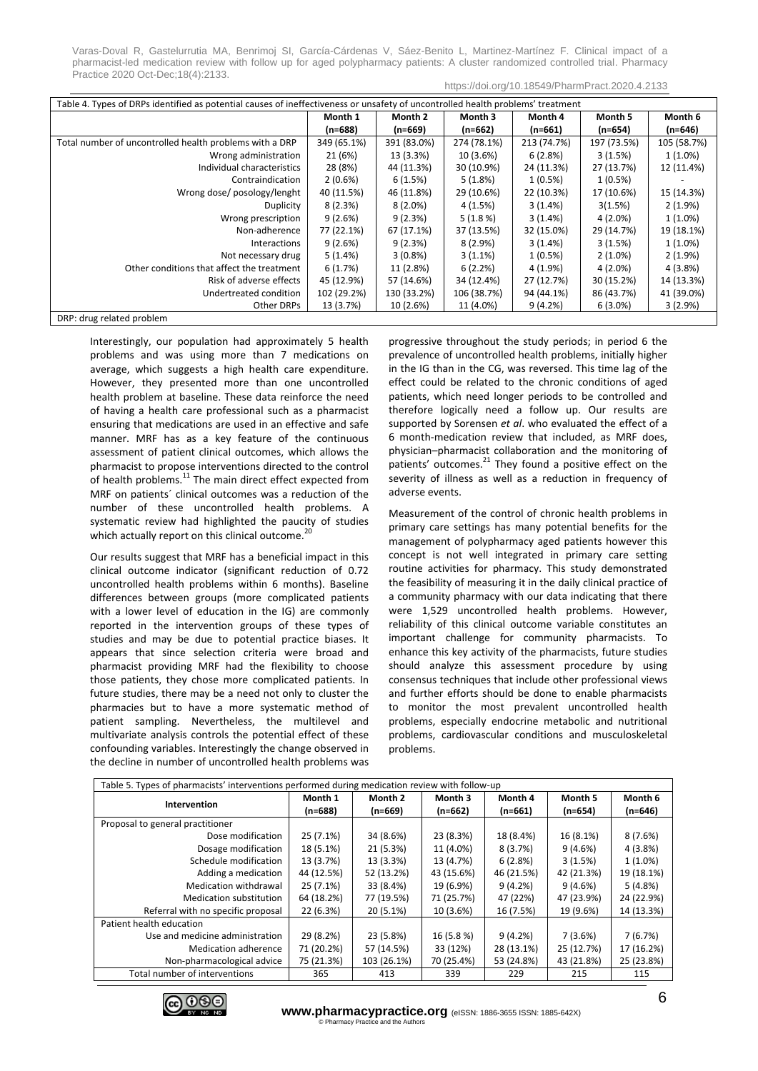| Table 4. Types of DRPs identified as potential causes of ineffectiveness or unsafety of uncontrolled health problems' treatment |             |             |             |             |             |             |
|---------------------------------------------------------------------------------------------------------------------------------|-------------|-------------|-------------|-------------|-------------|-------------|
|                                                                                                                                 | Month 1     | Month 2     | Month 3     | Month 4     | Month 5     | Month 6     |
|                                                                                                                                 | $(n=688)$   | $(n=669)$   | $(n=662)$   | $(n=661)$   | $(n=654)$   | $(n=646)$   |
| Total number of uncontrolled health problems with a DRP                                                                         | 349 (65.1%) | 391 (83.0%) | 274 (78.1%) | 213 (74.7%) | 197 (73.5%) | 105 (58.7%) |
| Wrong administration                                                                                                            | 21 (6%)     | 13 (3.3%)   | 10 (3.6%)   | 6(2.8%)     | 3(1.5%)     | $1(1.0\%)$  |
| Individual characteristics                                                                                                      | 28 (8%)     | 44 (11.3%)  | 30 (10.9%)  | 24 (11.3%)  | 27 (13.7%)  | 12 (11.4%)  |
| Contraindication                                                                                                                | $2(0.6\%)$  | 6(1.5%)     | 5(1.8%)     | $1(0.5\%)$  | 1(0.5%)     |             |
| Wrong dose/posology/lenght                                                                                                      | 40 (11.5%)  | 46 (11.8%)  | 29 (10.6%)  | 22 (10.3%)  | 17 (10.6%)  | 15 (14.3%)  |
| Duplicity                                                                                                                       | 8(2.3%)     | $8(2.0\%)$  | 4 (1.5%)    | 3(1.4%)     | 3(1.5%)     | $2(1.9\%)$  |
| Wrong prescription                                                                                                              | 9(2.6%)     | 9(2.3%)     | 5(1.8%)     | 3(1.4%)     | 4 (2.0%)    | $1(1.0\%)$  |
| Non-adherence                                                                                                                   | 77 (22.1%)  | 67 (17.1%)  | 37 (13.5%)  | 32 (15.0%)  | 29 (14.7%)  | 19 (18.1%)  |
| Interactions                                                                                                                    | 9(2.6%)     | 9(2.3%)     | $8(2.9\%)$  | 3(1.4%)     | 3(1.5%)     | $1(1.0\%)$  |
| Not necessary drug                                                                                                              | 5(1.4%)     | $3(0.8\%)$  | $3(1.1\%)$  | $1(0.5\%)$  | $2(1.0\%)$  | $2(1.9\%)$  |
| Other conditions that affect the treatment                                                                                      | 6(1.7%)     | 11 (2.8%)   | 6(2.2%)     | 4 (1.9%)    | 4 (2.0%)    | 4 (3.8%)    |
| Risk of adverse effects                                                                                                         | 45 (12.9%)  | 57 (14.6%)  | 34 (12.4%)  | 27 (12.7%)  | 30 (15.2%)  | 14 (13.3%)  |
| Undertreated condition                                                                                                          | 102 (29.2%) | 130 (33.2%) | 106 (38.7%) | 94 (44.1%)  | 86 (43.7%)  | 41 (39.0%)  |
| Other DRPs                                                                                                                      | 13 (3.7%)   | 10 (2.6%)   | 11 (4.0%)   | 9(4.2%)     | $6(3.0\%)$  | 3(2.9%)     |

DRP: drug related problem

Interestingly, our population had approximately 5 health problems and was using more than 7 medications on average, which suggests a high health care expenditure. However, they presented more than one uncontrolled health problem at baseline. These data reinforce the need of having a health care professional such as a pharmacist ensuring that medications are used in an effective and safe manner. MRF has as a key feature of the continuous assessment of patient clinical outcomes, which allows the pharmacist to propose interventions directed to the control of health problems.<sup>11</sup> The main direct effect expected from MRF on patients´ clinical outcomes was a reduction of the number of these uncontrolled health problems. A systematic review had highlighted the paucity of studies which actually report on this clinical outcome.<sup>20</sup>

Our results suggest that MRF has a beneficial impact in this clinical outcome indicator (significant reduction of 0.72 uncontrolled health problems within 6 months). Baseline differences between groups (more complicated patients with a lower level of education in the IG) are commonly reported in the intervention groups of these types of studies and may be due to potential practice biases. It appears that since selection criteria were broad and pharmacist providing MRF had the flexibility to choose those patients, they chose more complicated patients. In future studies, there may be a need not only to cluster the pharmacies but to have a more systematic method of patient sampling. Nevertheless, the multilevel and multivariate analysis controls the potential effect of these confounding variables. Interestingly the change observed in the decline in number of uncontrolled health problems was

progressive throughout the study periods; in period 6 the prevalence of uncontrolled health problems, initially higher in the IG than in the CG, was reversed. This time lag of the effect could be related to the chronic conditions of aged patients, which need longer periods to be controlled and therefore logically need a follow up. Our results are supported by Sorensen *et al*. who evaluated the effect of a 6 month-medication review that included, as MRF does, physician–pharmacist collaboration and the monitoring of patients' outcomes.<sup>21</sup> They found a positive effect on the severity of illness as well as a reduction in frequency of adverse events.

Measurement of the control of chronic health problems in primary care settings has many potential benefits for the management of polypharmacy aged patients however this concept is not well integrated in primary care setting routine activities for pharmacy. This study demonstrated the feasibility of measuring it in the daily clinical practice of a community pharmacy with our data indicating that there were 1,529 uncontrolled health problems. However, reliability of this clinical outcome variable constitutes an important challenge for community pharmacists. To enhance this key activity of the pharmacists, future studies should analyze this assessment procedure by using consensus techniques that include other professional views and further efforts should be done to enable pharmacists to monitor the most prevalent uncontrolled health problems, especially endocrine metabolic and nutritional problems, cardiovascular conditions and musculoskeletal problems.

| Table 5. Types of pharmacists' interventions performed during medication review with follow-up |            |             |            |            |            |            |  |
|------------------------------------------------------------------------------------------------|------------|-------------|------------|------------|------------|------------|--|
| Intervention                                                                                   | Month 1    | Month 2     | Month 3    | Month 4    | Month 5    | Month 6    |  |
|                                                                                                | $(n=688)$  | $(n=669)$   | $(n=662)$  | $(n=661)$  | $(n=654)$  | $(n=646)$  |  |
| Proposal to general practitioner                                                               |            |             |            |            |            |            |  |
| Dose modification                                                                              | 25 (7.1%)  | 34 (8.6%)   | 23 (8.3%)  | 18 (8.4%)  | 16 (8.1%)  | 8(7.6%)    |  |
| Dosage modification                                                                            | 18 (5.1%)  | 21 (5.3%)   | 11 (4.0%)  | 8(3.7%)    | 9(4.6%)    | 4(3.8%)    |  |
| Schedule modification                                                                          | 13 (3.7%)  | 13 (3.3%)   | 13 (4.7%)  | 6(2.8%)    | 3(1.5%)    | $1(1.0\%)$ |  |
| Adding a medication                                                                            | 44 (12.5%) | 52 (13.2%)  | 43 (15.6%) | 46 (21.5%) | 42 (21.3%) | 19 (18.1%) |  |
| Medication withdrawal                                                                          | 25 (7.1%)  | 33 (8.4%)   | 19 (6.9%)  | 9(4.2%)    | 9(4.6%)    | 5(4.8%)    |  |
| Medication substitution                                                                        | 64 (18.2%) | 77 (19.5%)  | 71 (25.7%) | 47 (22%)   | 47 (23.9%) | 24 (22.9%) |  |
| Referral with no specific proposal                                                             | 22 (6.3%)  | 20 (5.1%)   | 10 (3.6%)  | 16 (7.5%)  | 19 (9.6%)  | 14 (13.3%) |  |
| Patient health education                                                                       |            |             |            |            |            |            |  |
| Use and medicine administration                                                                | 29 (8.2%)  | 23 (5.8%)   | 16 (5.8 %) | 9(4.2%)    | 7(3.6%)    | 7(6.7%)    |  |
| Medication adherence                                                                           | 71 (20.2%) | 57 (14.5%)  | 33 (12%)   | 28 (13.1%) | 25 (12.7%) | 17 (16.2%) |  |
| Non-pharmacological advice                                                                     | 75 (21.3%) | 103 (26.1%) | 70 (25.4%) | 53 (24.8%) | 43 (21.8%) | 25 (23.8%) |  |
| Total number of interventions                                                                  | 365        | 413         | 339        | 229        | 215        | 115        |  |

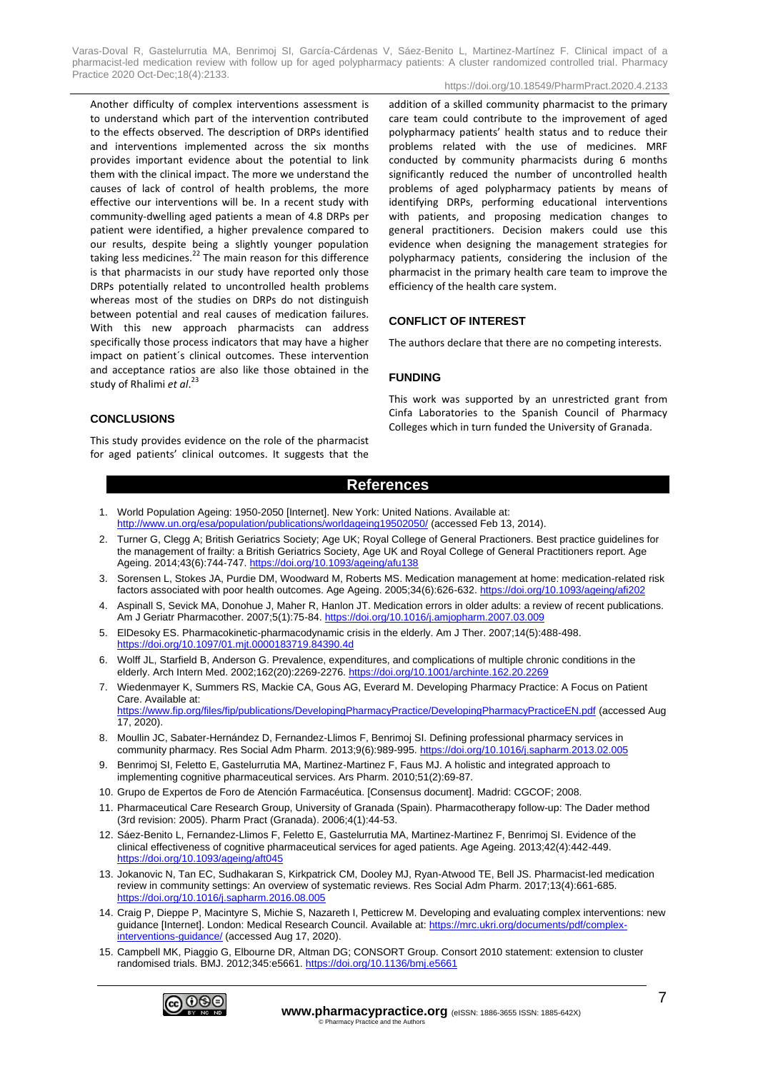https://doi.org/10.18549/PharmPract.2020.4.2133

Another difficulty of complex interventions assessment is to understand which part of the intervention contributed to the effects observed. The description of DRPs identified and interventions implemented across the six months provides important evidence about the potential to link them with the clinical impact. The more we understand the causes of lack of control of health problems, the more effective our interventions will be. In a recent study with community-dwelling aged patients a mean of 4.8 DRPs per patient were identified, a higher prevalence compared to our results, despite being a slightly younger population taking less medicines.<sup>22</sup> The main reason for this difference is that pharmacists in our study have reported only those DRPs potentially related to uncontrolled health problems whereas most of the studies on DRPs do not distinguish between potential and real causes of medication failures. With this new approach pharmacists can address specifically those process indicators that may have a higher impact on patient´s clinical outcomes. These intervention and acceptance ratios are also like those obtained in the study of Rhalimi *et al*. 23

addition of a skilled community pharmacist to the primary care team could contribute to the improvement of aged polypharmacy patients' health status and to reduce their problems related with the use of medicines. MRF conducted by community pharmacists during 6 months significantly reduced the number of uncontrolled health problems of aged polypharmacy patients by means of identifying DRPs, performing educational interventions with patients, and proposing medication changes to general practitioners. Decision makers could use this evidence when designing the management strategies for polypharmacy patients, considering the inclusion of the pharmacist in the primary health care team to improve the efficiency of the health care system.

# **CONFLICT OF INTEREST**

The authors declare that there are no competing interests.

# **FUNDING**

## **CONCLUSIONS**

This study provides evidence on the role of the pharmacist for aged patients' clinical outcomes. It suggests that the This work was supported by an unrestricted grant from Cinfa Laboratories to the Spanish Council of Pharmacy Colleges which in turn funded the University of Granada.

# **References**

- 1. World Population Ageing: 1950-2050 [Internet]. New York: United Nations. Available at: <http://www.un.org/esa/population/publications/worldageing19502050/> (accessed Feb 13, 2014).
- 2. Turner G, Clegg A; British Geriatrics Society; Age UK; Royal College of General Practioners. Best practice guidelines for the management of frailty: a British Geriatrics Society, Age UK and Royal College of General Practitioners report. Age Ageing. 2014;43(6):744-747.<https://doi.org/10.1093/ageing/afu138>
- 3. Sorensen L, Stokes JA, Purdie DM, Woodward M, Roberts MS. Medication management at home: medication-related risk factors associated with poor health outcomes. Age Ageing. 2005;34(6):626-632.<https://doi.org/10.1093/ageing/afi202>
- 4. Aspinall S, Sevick MA, Donohue J, Maher R, Hanlon JT. Medication errors in older adults: a review of recent publications. Am J Geriatr Pharmacother. 2007;5(1):75-84[. https://doi.org/10.1016/j.amjopharm.2007.03.009](https://doi.org/10.1016/j.amjopharm.2007.03.009)
- 5. ElDesoky ES. Pharmacokinetic-pharmacodynamic crisis in the elderly. Am J Ther. 2007;14(5):488-498. <https://doi.org/10.1097/01.mjt.0000183719.84390.4d>
- 6. Wolff JL, Starfield B, Anderson G. Prevalence, expenditures, and complications of multiple chronic conditions in the elderly. Arch Intern Med. 2002;162(20):2269-2276.<https://doi.org/10.1001/archinte.162.20.2269>
- 7. Wiedenmayer K, Summers RS, Mackie CA, Gous AG, Everard M. Developing Pharmacy Practice: A Focus on Patient Care. Available at:

<https://www.fip.org/files/fip/publications/DevelopingPharmacyPractice/DevelopingPharmacyPracticeEN.pdf> (accessed Aug 17, 2020).

- 8. Moullin JC, Sabater-Hernández D, Fernandez-Llimos F, Benrimoj SI. Defining professional pharmacy services in community pharmacy. Res Social Adm Pharm. 2013;9(6):989-995.<https://doi.org/10.1016/j.sapharm.2013.02.005>
- 9. Benrimoj SI, Feletto E, Gastelurrutia MA, Martinez-Martinez F, Faus MJ. A holistic and integrated approach to implementing cognitive pharmaceutical services. Ars Pharm. 2010;51(2):69-87.
- 10. Grupo de Expertos de Foro de Atención Farmacéutica. [Consensus document]. Madrid: CGCOF; 2008.
- 11. Pharmaceutical Care Research Group, University of Granada (Spain). Pharmacotherapy follow-up: The Dader method (3rd revision: 2005). Pharm Pract (Granada). 2006;4(1):44-53.
- 12. Sáez-Benito L, Fernandez-Llimos F, Feletto E, Gastelurrutia MA, Martinez-Martinez F, Benrimoj SI. Evidence of the clinical effectiveness of cognitive pharmaceutical services for aged patients. Age Ageing. 2013;42(4):442-449. <https://doi.org/10.1093/ageing/aft045>
- 13. Jokanovic N, Tan EC, Sudhakaran S, Kirkpatrick CM, Dooley MJ, Ryan-Atwood TE, Bell JS. Pharmacist-led medication review in community settings: An overview of systematic reviews. Res Social Adm Pharm. 2017;13(4):661-685. <https://doi.org/10.1016/j.sapharm.2016.08.005>
- 14. Craig P, Dieppe P, Macintyre S, Michie S, Nazareth I, Petticrew M. Developing and evaluating complex interventions: new guidance [Internet]. London: Medical Research Council. Available at[: https://mrc.ukri.org/documents/pdf/complex](https://mrc.ukri.org/documents/pdf/complex-interventions-guidance/)[interventions-guidance/](https://mrc.ukri.org/documents/pdf/complex-interventions-guidance/) (accessed Aug 17, 2020).
- 15. Campbell MK, Piaggio G, Elbourne DR, Altman DG; CONSORT Group. Consort 2010 statement: extension to cluster randomised trials. BMJ. 2012;345:e5661.<https://doi.org/10.1136/bmj.e5661>